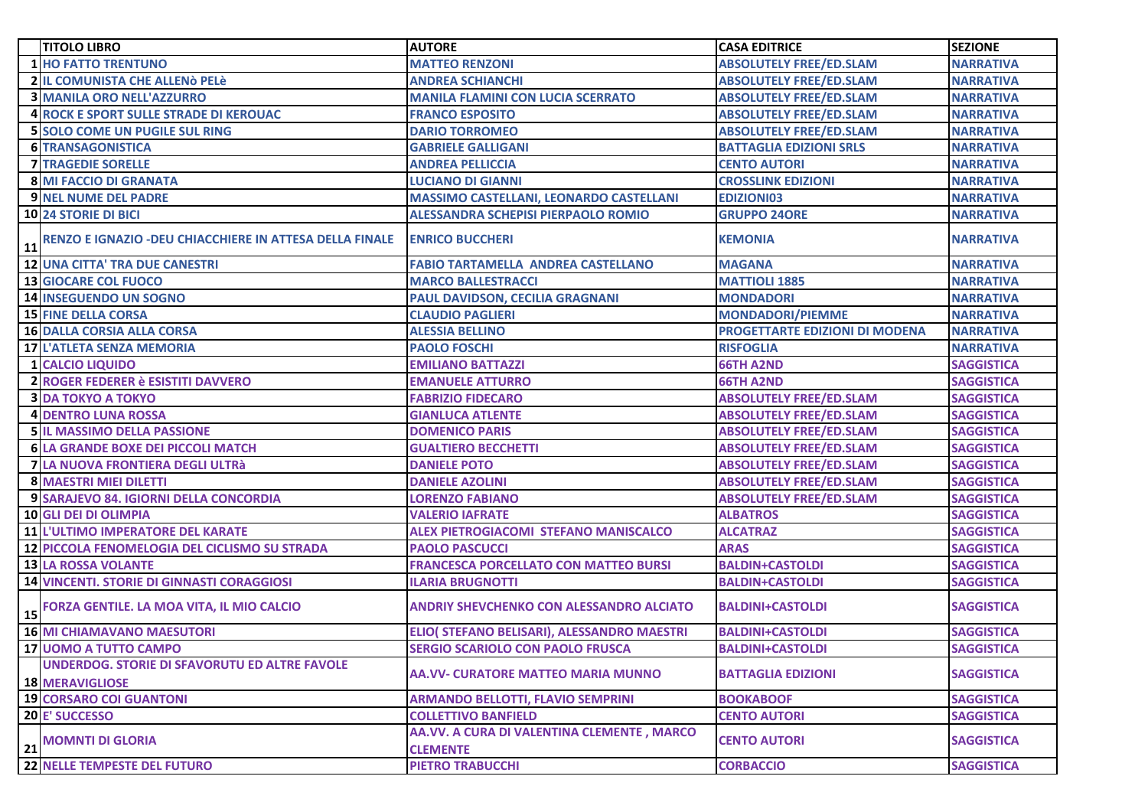|    | <b>TITOLO LIBRO</b>                                                     | <b>AUTORE</b>                                                 | <b>CASA EDITRICE</b>                  | <b>SEZIONE</b>    |
|----|-------------------------------------------------------------------------|---------------------------------------------------------------|---------------------------------------|-------------------|
|    | <b>1 HO FATTO TRENTUNO</b>                                              | <b>MATTEO RENZONI</b>                                         | <b>ABSOLUTELY FREE/ED.SLAM</b>        | <b>NARRATIVA</b>  |
|    | <b>2 IL COMUNISTA CHE ALLENÒ PELÈ</b>                                   | <b>ANDREA SCHIANCHI</b>                                       | <b>ABSOLUTELY FREE/ED.SLAM</b>        | <b>NARRATIVA</b>  |
|    | <b>3 MANILA ORO NELL'AZZURRO</b>                                        | <b>MANILA FLAMINI CON LUCIA SCERRATO</b>                      | <b>ABSOLUTELY FREE/ED.SLAM</b>        | <b>NARRATIVA</b>  |
|    | <b>4 ROCK E SPORT SULLE STRADE DI KEROUAC</b>                           | <b>FRANCO ESPOSITO</b>                                        | <b>ABSOLUTELY FREE/ED.SLAM</b>        | <b>NARRATIVA</b>  |
|    | <b>5 SOLO COME UN PUGILE SUL RING</b>                                   | <b>DARIO TORROMEO</b>                                         | <b>ABSOLUTELY FREE/ED.SLAM</b>        | <b>NARRATIVA</b>  |
|    | <b>6 TRANSAGONISTICA</b>                                                | <b>GABRIELE GALLIGANI</b>                                     | <b>BATTAGLIA EDIZIONI SRLS</b>        | <b>NARRATIVA</b>  |
|    | <b>7 TRAGEDIE SORELLE</b>                                               | <b>ANDREA PELLICCIA</b>                                       | <b>CENTO AUTORI</b>                   | <b>NARRATIVA</b>  |
|    | <b>8 MI FACCIO DI GRANATA</b>                                           | <b>LUCIANO DI GIANNI</b>                                      | <b>CROSSLINK EDIZIONI</b>             | <b>NARRATIVA</b>  |
|    | <b>9 NEL NUME DEL PADRE</b>                                             | MASSIMO CASTELLANI, LEONARDO CASTELLANI                       | <b>EDIZIONI03</b>                     | <b>NARRATIVA</b>  |
|    | <b>10 24 STORIE DI BICI</b>                                             | <b>ALESSANDRA SCHEPISI PIERPAOLO ROMIO</b>                    | <b>GRUPPO 24ORE</b>                   | <b>NARRATIVA</b>  |
| 11 | RENZO E IGNAZIO - DEU CHIACCHIERE IN ATTESA DELLA FINALE                | <b>ENRICO BUCCHERI</b>                                        | <b>KEMONIA</b>                        | <b>NARRATIVA</b>  |
|    | 12 UNA CITTA' TRA DUE CANESTRI                                          | <b>FABIO TARTAMELLA ANDREA CASTELLANO</b>                     | <b>MAGANA</b>                         | <b>NARRATIVA</b>  |
|    | 13 GIOCARE COL FUOCO                                                    | <b>MARCO BALLESTRACCI</b>                                     | <b>MATTIOLI 1885</b>                  | <b>NARRATIVA</b>  |
|    | <b>14 INSEGUENDO UN SOGNO</b>                                           | PAUL DAVIDSON, CECILIA GRAGNANI                               | <b>MONDADORI</b>                      | <b>NARRATIVA</b>  |
|    | <b>15 FINE DELLA CORSA</b>                                              | <b>CLAUDIO PAGLIERI</b>                                       | <b>MONDADORI/PIEMME</b>               | <b>NARRATIVA</b>  |
|    | <b>16 DALLA CORSIA ALLA CORSA</b>                                       | <b>ALESSIA BELLINO</b>                                        | <b>PROGETTARTE EDIZIONI DI MODENA</b> | <b>NARRATIVA</b>  |
|    | <b>17 L'ATLETA SENZA MEMORIA</b>                                        | <b>PAOLO FOSCHI</b>                                           | <b>RISFOGLIA</b>                      | <b>NARRATIVA</b>  |
|    | <b>1 CALCIO LIQUIDO</b>                                                 | <b>EMILIANO BATTAZZI</b>                                      | <b>66TH A2ND</b>                      | <b>SAGGISTICA</b> |
|    | 2 ROGER FEDERER è ESISTITI DAVVERO                                      | <b>EMANUELE ATTURRO</b>                                       | <b>66TH A2ND</b>                      | <b>SAGGISTICA</b> |
|    | <b>3 DA TOKYO A TOKYO</b>                                               | <b>FABRIZIO FIDECARO</b>                                      | <b>ABSOLUTELY FREE/ED.SLAM</b>        | <b>SAGGISTICA</b> |
|    | <b>4 DENTRO LUNA ROSSA</b>                                              | <b>GIANLUCA ATLENTE</b>                                       | <b>ABSOLUTELY FREE/ED.SLAM</b>        | <b>SAGGISTICA</b> |
|    | <b>5 IL MASSIMO DELLA PASSIONE</b>                                      | <b>DOMENICO PARIS</b>                                         | <b>ABSOLUTELY FREE/ED.SLAM</b>        | <b>SAGGISTICA</b> |
|    | <b>6 LA GRANDE BOXE DEI PICCOLI MATCH</b>                               | <b>GUALTIERO BECCHETTI</b>                                    | <b>ABSOLUTELY FREE/ED.SLAM</b>        | <b>SAGGISTICA</b> |
|    | 7 LA NUOVA FRONTIERA DEGLI ULTRà                                        | <b>DANIELE POTO</b>                                           | <b>ABSOLUTELY FREE/ED.SLAM</b>        | <b>SAGGISTICA</b> |
|    | <b>8 MAESTRI MIEI DILETTI</b>                                           | <b>DANIELE AZOLINI</b>                                        | <b>ABSOLUTELY FREE/ED.SLAM</b>        | <b>SAGGISTICA</b> |
|    | 9 SARAJEVO 84. IGIORNI DELLA CONCORDIA                                  | <b>LORENZO FABIANO</b>                                        | <b>ABSOLUTELY FREE/ED.SLAM</b>        | <b>SAGGISTICA</b> |
|    | <b>10 GLI DEI DI OLIMPIA</b>                                            | <b>VALERIO IAFRATE</b>                                        | <b>ALBATROS</b>                       | <b>SAGGISTICA</b> |
|    | <b>11 L'ULTIMO IMPERATORE DEL KARATE</b>                                | <b>ALEX PIETROGIACOMI STEFANO MANISCALCO</b>                  | <b>ALCATRAZ</b>                       | <b>SAGGISTICA</b> |
|    | 12 PICCOLA FENOMELOGIA DEL CICLISMO SU STRADA                           | <b>PAOLO PASCUCCI</b>                                         | <b>ARAS</b>                           | <b>SAGGISTICA</b> |
|    | <b>13 LA ROSSA VOLANTE</b>                                              | <b>FRANCESCA PORCELLATO CON MATTEO BURSI</b>                  | <b>BALDIN+CASTOLDI</b>                | <b>SAGGISTICA</b> |
|    | <b>14 VINCENTI. STORIE DI GINNASTI CORAGGIOSI</b>                       | <b>ILARIA BRUGNOTTI</b>                                       | <b>BALDIN+CASTOLDI</b>                | <b>SAGGISTICA</b> |
|    | 15 FORZA GENTILE. LA MOA VITA, IL MIO CALCIO                            | <b>ANDRIY SHEVCHENKO CON ALESSANDRO ALCIATO</b>               | <b>BALDINI+CASTOLDI</b>               | <b>SAGGISTICA</b> |
|    | <b>16 MI CHIAMAVANO MAESUTORI</b>                                       | ELIO( STEFANO BELISARI), ALESSANDRO MAESTRI                   | <b>BALDINI+CASTOLDI</b>               | <b>SAGGISTICA</b> |
|    | 17 UOMO A TUTTO CAMPO                                                   | SERGIO SCARIOLO CON PAOLO FRUSCA                              | <b>BALDINI+CASTOLDI</b>               | <b>SAGGISTICA</b> |
|    | UNDERDOG. STORIE DI SFAVORUTU ED ALTRE FAVOLE<br><b>18 MERAVIGLIOSE</b> | <b>AA.VV- CURATORE MATTEO MARIA MUNNO</b>                     | <b>BATTAGLIA EDIZIONI</b>             | <b>SAGGISTICA</b> |
|    | 19 CORSARO COI GUANTONI                                                 | <b>ARMANDO BELLOTTI, FLAVIO SEMPRINI</b>                      | <b>BOOKABOOF</b>                      | <b>SAGGISTICA</b> |
|    | 20 E' SUCCESSO                                                          | <b>COLLETTIVO BANFIELD</b>                                    | <b>CENTO AUTORI</b>                   | <b>SAGGISTICA</b> |
|    | <b>21 MOMNTI DI GLORIA<br/>22 NELLE TEMPESTE DEL FUTURO</b>             | AA.VV. A CURA DI VALENTINA CLEMENTE, MARCO<br><b>CLEMENTE</b> | <b>CENTO AUTORI</b>                   | <b>SAGGISTICA</b> |
|    |                                                                         | <b>PIETRO TRABUCCHI</b>                                       | <b>CORBACCIO</b>                      | <b>SAGGISTICA</b> |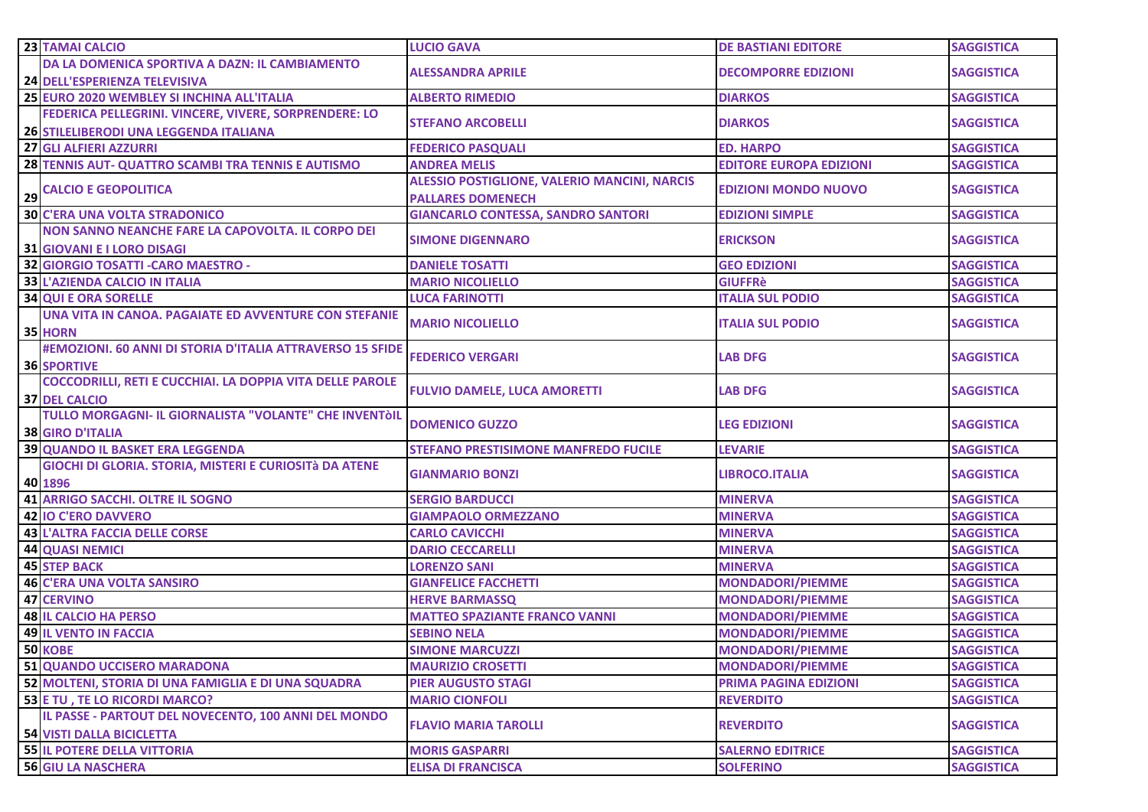|    | 23 TAMAI CALCIO                                                          | <b>LUCIO GAVA</b>                                   | <b>DE BASTIANI EDITORE</b>       | <b>SAGGISTICA</b>                      |
|----|--------------------------------------------------------------------------|-----------------------------------------------------|----------------------------------|----------------------------------------|
|    | DA LA DOMENICA SPORTIVA A DAZN: IL CAMBIAMENTO                           | <b>ALESSANDRA APRILE</b>                            | <b>DECOMPORRE EDIZIONI</b>       | <b>SAGGISTICA</b>                      |
|    | <b>24 DELL'ESPERIENZA TELEVISIVA</b>                                     |                                                     |                                  |                                        |
|    | 25 EURO 2020 WEMBLEY SI INCHINA ALL'ITALIA                               | <b>ALBERTO RIMEDIO</b>                              | <b>DIARKOS</b>                   | <b>SAGGISTICA</b>                      |
|    | FEDERICA PELLEGRINI. VINCERE, VIVERE, SORPRENDERE: LO                    | <b>STEFANO ARCOBELLI</b>                            | <b>DIARKOS</b>                   | <b>SAGGISTICA</b>                      |
|    | 26 STILELIBERODI UNA LEGGENDA ITALIANA                                   |                                                     |                                  |                                        |
|    | 27 GLI ALFIERI AZZURRI                                                   | <b>FEDERICO PASQUALI</b>                            | <b>ED. HARPO</b>                 | <b>SAGGISTICA</b>                      |
|    | 28 TENNIS AUT- QUATTRO SCAMBI TRA TENNIS E AUTISMO                       | <b>ANDREA MELIS</b>                                 | <b>EDITORE EUROPA EDIZIONI</b>   | <b>SAGGISTICA</b>                      |
|    | <b>CALCIO E GEOPOLITICA</b>                                              | <b>ALESSIO POSTIGLIONE, VALERIO MANCINI, NARCIS</b> | <b>EDIZIONI MONDO NUOVO</b>      | <b>SAGGISTICA</b>                      |
| 29 |                                                                          | <b>PALLARES DOMENECH</b>                            |                                  |                                        |
|    | <b>30 C'ERA UNA VOLTA STRADONICO</b>                                     | <b>GIANCARLO CONTESSA, SANDRO SANTORI</b>           | <b>EDIZIONI SIMPLE</b>           | <b>SAGGISTICA</b>                      |
|    | NON SANNO NEANCHE FARE LA CAPOVOLTA. IL CORPO DEI                        | <b>SIMONE DIGENNARO</b>                             | <b>ERICKSON</b>                  | <b>SAGGISTICA</b>                      |
|    | <b>31 GIOVANI E I LORO DISAGI</b><br>32 GIORGIO TOSATTI - CARO MAESTRO - | <b>DANIELE TOSATTI</b>                              | <b>GEO EDIZIONI</b>              | <b>SAGGISTICA</b>                      |
|    | 33 L'AZIENDA CALCIO IN ITALIA                                            | <b>MARIO NICOLIELLO</b>                             | <b>GIUFFRè</b>                   | <b>SAGGISTICA</b>                      |
|    | <b>34 QUI E ORA SORELLE</b>                                              | <b>LUCA FARINOTTI</b>                               | <b>ITALIA SUL PODIO</b>          | <b>SAGGISTICA</b>                      |
|    | UNA VITA IN CANOA. PAGAIATE ED AVVENTURE CON STEFANIE                    |                                                     |                                  |                                        |
|    | 35 HORN                                                                  | <b>MARIO NICOLIELLO</b>                             | <b>ITALIA SUL PODIO</b>          | <b>SAGGISTICA</b>                      |
|    | #EMOZIONI. 60 ANNI DI STORIA D'ITALIA ATTRAVERSO 15 SFIDE                |                                                     |                                  |                                        |
|    | <b>36 SPORTIVE</b>                                                       | <b>FEDERICO VERGARI</b>                             | <b>LAB DFG</b>                   | <b>SAGGISTICA</b>                      |
|    | COCCODRILLI, RETI E CUCCHIAI. LA DOPPIA VITA DELLE PAROLE                |                                                     |                                  |                                        |
|    | <b>37 DEL CALCIO</b>                                                     | <b>FULVIO DAMELE, LUCA AMORETTI</b>                 | <b>LAB DFG</b>                   | <b>SAGGISTICA</b>                      |
|    | TULLO MORGAGNI- IL GIORNALISTA "VOLANTE" CHE INVENTÒIL                   | <b>DOMENICO GUZZO</b>                               | <b>LEG EDIZIONI</b>              | <b>SAGGISTICA</b>                      |
|    | <b>38 GIRO D'ITALIA</b>                                                  |                                                     |                                  |                                        |
|    | <b>39 QUANDO IL BASKET ERA LEGGENDA</b>                                  | <b>STEFANO PRESTISIMONE MANFREDO FUCILE</b>         | <b>LEVARIE</b>                   | <b>SAGGISTICA</b>                      |
|    | GIOCHI DI GLORIA. STORIA, MISTERI E CURIOSITà DA ATENE                   | <b>GIANMARIO BONZI</b>                              | <b>LIBROCO.ITALIA</b>            | <b>SAGGISTICA</b>                      |
|    | 40 1896                                                                  |                                                     |                                  |                                        |
|    | <b>41 ARRIGO SACCHI. OLTRE IL SOGNO</b>                                  | <b>SERGIO BARDUCCI</b>                              | <b>MINERVA</b>                   | <b>SAGGISTICA</b>                      |
|    | <b>42 IO C'ERO DAVVERO</b>                                               | <b>GIAMPAOLO ORMEZZANO</b>                          | <b>MINERVA</b>                   | <b>SAGGISTICA</b>                      |
|    | <b>43 L'ALTRA FACCIA DELLE CORSE</b>                                     | <b>CARLO CAVICCHI</b>                               | <b>MINERVA</b>                   | <b>SAGGISTICA</b>                      |
|    | <b>44 QUASI NEMICI</b>                                                   | <b>DARIO CECCARELLI</b>                             | <b>MINERVA</b><br><b>MINERVA</b> | <b>SAGGISTICA</b>                      |
|    | <b>45 STEP BACK</b><br><b>46 C'ERA UNA VOLTA SANSIRO</b>                 | <b>LORENZO SANI</b><br><b>GIANFELICE FACCHETTI</b>  | <b>MONDADORI/PIEMME</b>          | <b>SAGGISTICA</b><br><b>SAGGISTICA</b> |
|    | <b>47 CERVINO</b>                                                        | <b>HERVE BARMASSQ</b>                               | <b>MONDADORI/PIEMME</b>          | <b>SAGGISTICA</b>                      |
|    | <b>48 IL CALCIO HA PERSO</b>                                             | <b>MATTEO SPAZIANTE FRANCO VANNI</b>                | <b>MONDADORI/PIEMME</b>          | <b>SAGGISTICA</b>                      |
|    | <b>49 IL VENTO IN FACCIA</b>                                             | <b>SEBINO NELA</b>                                  | <b>MONDADORI/PIEMME</b>          | <b>SAGGISTICA</b>                      |
|    | 50 KOBE                                                                  | <b>SIMONE MARCUZZI</b>                              | <b>MONDADORI/PIEMME</b>          | <b>SAGGISTICA</b>                      |
|    | <b>51 QUANDO UCCISERO MARADONA</b>                                       | <b>MAURIZIO CROSETTI</b>                            | <b>MONDADORI/PIEMME</b>          | <b>SAGGISTICA</b>                      |
|    | 52 MOLTENI, STORIA DI UNA FAMIGLIA E DI UNA SQUADRA                      | <b>PIER AUGUSTO STAGI</b>                           | <b>PRIMA PAGINA EDIZIONI</b>     | <b>SAGGISTICA</b>                      |
|    | 53 E TU, TE LO RICORDI MARCO?                                            | <b>MARIO CIONFOLI</b>                               | <b>REVERDITO</b>                 | <b>SAGGISTICA</b>                      |
|    | IL PASSE - PARTOUT DEL NOVECENTO, 100 ANNI DEL MONDO                     |                                                     |                                  |                                        |
|    | <b>54 VISTI DALLA BICICLETTA</b>                                         | <b>FLAVIO MARIA TAROLLI</b>                         | <b>REVERDITO</b>                 | <b>SAGGISTICA</b>                      |
|    | <b>55 IL POTERE DELLA VITTORIA</b>                                       | <b>MORIS GASPARRI</b>                               | <b>SALERNO EDITRICE</b>          | <b>SAGGISTICA</b>                      |
|    | <b>56 GIU LA NASCHERA</b>                                                | <b>ELISA DI FRANCISCA</b>                           | <b>SOLFERINO</b>                 | <b>SAGGISTICA</b>                      |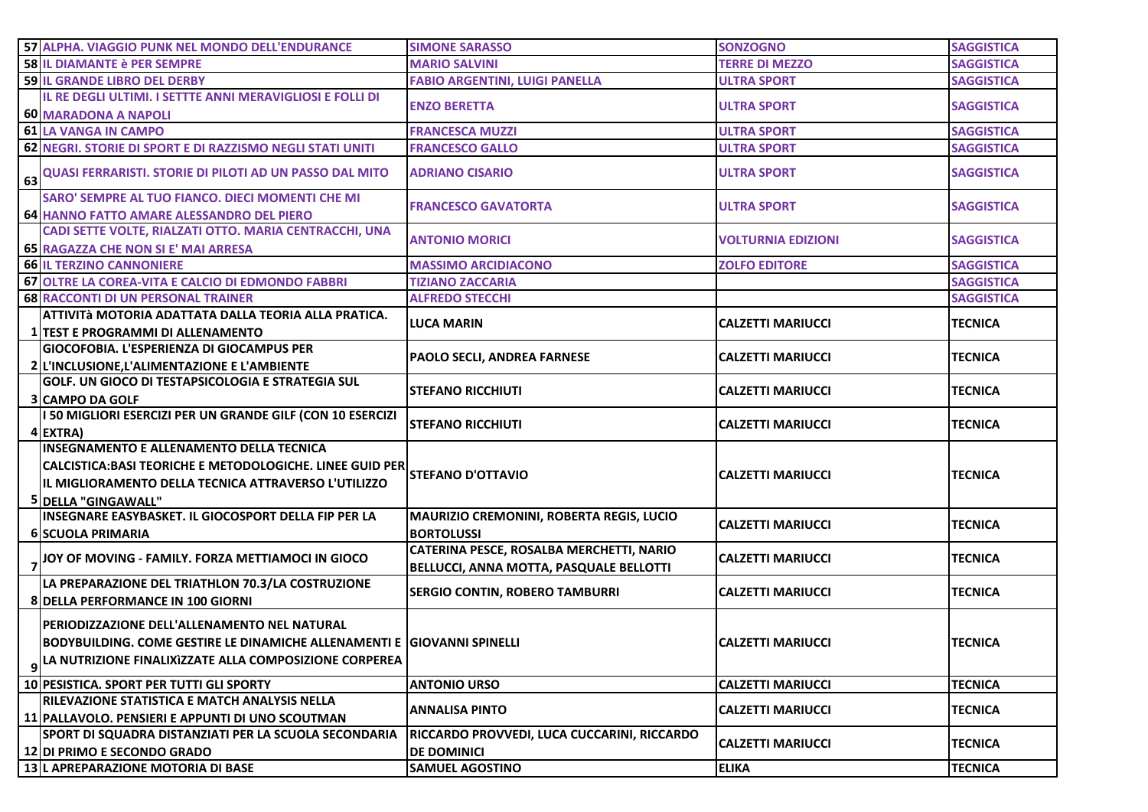| 57 ALPHA. VIAGGIO PUNK NEL MONDO DELL'ENDURANCE                                                                                                                                                               | <b>SIMONE SARASSO</b>                                                               | <b>SONZOGNO</b>           | <b>SAGGISTICA</b> |
|---------------------------------------------------------------------------------------------------------------------------------------------------------------------------------------------------------------|-------------------------------------------------------------------------------------|---------------------------|-------------------|
| 58 IL DIAMANTE è PER SEMPRE                                                                                                                                                                                   | <b>MARIO SALVINI</b>                                                                | <b>TERRE DI MEZZO</b>     | <b>SAGGISTICA</b> |
| <b>59 IL GRANDE LIBRO DEL DERBY</b>                                                                                                                                                                           | <b>FABIO ARGENTINI, LUIGI PANELLA</b>                                               | <b>ULTRA SPORT</b>        | <b>SAGGISTICA</b> |
| IL RE DEGLI ULTIMI. I SETTTE ANNI MERAVIGLIOSI E FOLLI DI                                                                                                                                                     | <b>ENZO BERETTA</b>                                                                 | <b>ULTRA SPORT</b>        | <b>SAGGISTICA</b> |
| 60 MARADONA A NAPOLI                                                                                                                                                                                          |                                                                                     |                           |                   |
| 61 LA VANGA IN CAMPO                                                                                                                                                                                          | <b>FRANCESCA MUZZI</b>                                                              | <b>ULTRA SPORT</b>        | <b>SAGGISTICA</b> |
| 62 NEGRI. STORIE DI SPORT E DI RAZZISMO NEGLI STATI UNITI                                                                                                                                                     | <b>FRANCESCO GALLO</b>                                                              | <b>ULTRA SPORT</b>        | <b>SAGGISTICA</b> |
| 63 QUASI FERRARISTI. STORIE DI PILOTI AD UN PASSO DAL MITO                                                                                                                                                    | <b>ADRIANO CISARIO</b>                                                              | <b>ULTRA SPORT</b>        | <b>SAGGISTICA</b> |
| SARO' SEMPRE AL TUO FIANCO. DIECI MOMENTI CHE MI<br>64 HANNO FATTO AMARE ALESSANDRO DEL PIERO                                                                                                                 | <b>FRANCESCO GAVATORTA</b>                                                          | <b>ULTRA SPORT</b>        | <b>SAGGISTICA</b> |
| CADI SETTE VOLTE, RIALZATI OTTO. MARIA CENTRACCHI, UNA<br>65 RAGAZZA CHE NON SI E' MAI ARRESA                                                                                                                 | <b>ANTONIO MORICI</b>                                                               | <b>VOLTURNIA EDIZIONI</b> | <b>SAGGISTICA</b> |
| <b>66 IL TERZINO CANNONIERE</b>                                                                                                                                                                               | <b>MASSIMO ARCIDIACONO</b>                                                          | <b>ZOLFO EDITORE</b>      | <b>SAGGISTICA</b> |
| 67 OLTRE LA COREA-VITA E CALCIO DI EDMONDO FABBRI                                                                                                                                                             | <b>TIZIANO ZACCARIA</b>                                                             |                           | <b>SAGGISTICA</b> |
| <b>68 RACCONTI DI UN PERSONAL TRAINER</b>                                                                                                                                                                     | <b>ALFREDO STECCHI</b>                                                              |                           | <b>SAGGISTICA</b> |
| lattività motoria adattata dalla teoria alla pratica.<br>1 TEST E PROGRAMMI DI ALLENAMENTO                                                                                                                    | <b>LUCA MARIN</b>                                                                   | <b>CALZETTI MARIUCCI</b>  | <b>TECNICA</b>    |
| <b>GIOCOFOBIA. L'ESPERIENZA DI GIOCAMPUS PER</b><br>2 L'INCLUSIONE, L'ALIMENTAZIONE E L'AMBIENTE                                                                                                              | <b>PAOLO SECLI, ANDREA FARNESE</b>                                                  | <b>CALZETTI MARIUCCI</b>  | <b>TECNICA</b>    |
| <b>GOLF. UN GIOCO DI TESTAPSICOLOGIA E STRATEGIA SUL</b><br><b>3 CAMPO DA GOLF</b>                                                                                                                            | <b>STEFANO RICCHIUTI</b>                                                            | <b>CALZETTI MARIUCCI</b>  | <b>TECNICA</b>    |
| I 50 MIGLIORI ESERCIZI PER UN GRANDE GILF (CON 10 ESERCIZI<br>4 EXTRA)                                                                                                                                        | <b>STEFANO RICCHIUTI</b>                                                            | <b>CALZETTI MARIUCCI</b>  | <b>TECNICA</b>    |
| <b>INSEGNAMENTO E ALLENAMENTO DELLA TECNICA</b><br>CALCISTICA:BASI TEORICHE E METODOLOGICHE. LINEE GUID PER STEFANO D'OTTAVION<br>IL MIGLIORAMENTO DELLA TECNICA ATTRAVERSO L'UTILIZZO<br>5 DELLA "GINGAWALL" |                                                                                     | <b>CALZETTI MARIUCCI</b>  | <b>TECNICA</b>    |
| INSEGNARE EASYBASKET. IL GIOCOSPORT DELLA FIP PER LA<br><b>6 SCUOLA PRIMARIA</b>                                                                                                                              | MAURIZIO CREMONINI, ROBERTA REGIS, LUCIO<br><b>BORTOLUSSI</b>                       | <b>CALZETTI MARIUCCI</b>  | <b>TECNICA</b>    |
| 7 JOY OF MOVING - FAMILY. FORZA METTIAMOCI IN GIOCO                                                                                                                                                           | CATERINA PESCE, ROSALBA MERCHETTI, NARIO<br>BELLUCCI, ANNA MOTTA, PASQUALE BELLOTTI | <b>CALZETTI MARIUCCI</b>  | <b>TECNICA</b>    |
| LA PREPARAZIONE DEL TRIATHLON 70.3/LA COSTRUZIONE<br>8 DELLA PERFORMANCE IN 100 GIORNI                                                                                                                        | <b>SERGIO CONTIN, ROBERO TAMBURRI</b>                                               | <b>CALZETTI MARIUCCI</b>  | <b>TECNICA</b>    |
| PERIODIZZAZIONE DELL'ALLENAMENTO NEL NATURAL<br>BODYBUILDING. COME GESTIRE LE DINAMICHE ALLENAMENTI E GIOVANNI SPINELLI<br>9 LA NUTRIZIONE FINALIXIZZATE ALLA COMPOSIZIONE CORPEREA                           |                                                                                     | <b>CALZETTI MARIUCCI</b>  | <b>TECNICA</b>    |
| 10 PESISTICA. SPORT PER TUTTI GLI SPORTY                                                                                                                                                                      | <b>ANTONIO URSO</b>                                                                 | <b>CALZETTI MARIUCCI</b>  | <b>TECNICA</b>    |
| <b>IRILEVAZIONE STATISTICA E MATCH ANALYSIS NELLA</b><br>11 PALLAVOLO. PENSIERI E APPUNTI DI UNO SCOUTMAN                                                                                                     | <b>ANNALISA PINTO</b>                                                               | <b>CALZETTI MARIUCCI</b>  | <b>TECNICA</b>    |
| SPORT DI SQUADRA DISTANZIATI PER LA SCUOLA SECONDARIA<br>12 DI PRIMO E SECONDO GRADO                                                                                                                          | <b>RICCARDO PROVVEDI, LUCA CUCCARINI, RICCARDO</b><br><b>DE DOMINICI</b>            | <b>CALZETTI MARIUCCI</b>  | <b>TECNICA</b>    |
| 13 L APREPARAZIONE MOTORIA DI BASE                                                                                                                                                                            | <b>SAMUEL AGOSTINO</b>                                                              | <b>ELIKA</b>              | <b>TECNICA</b>    |